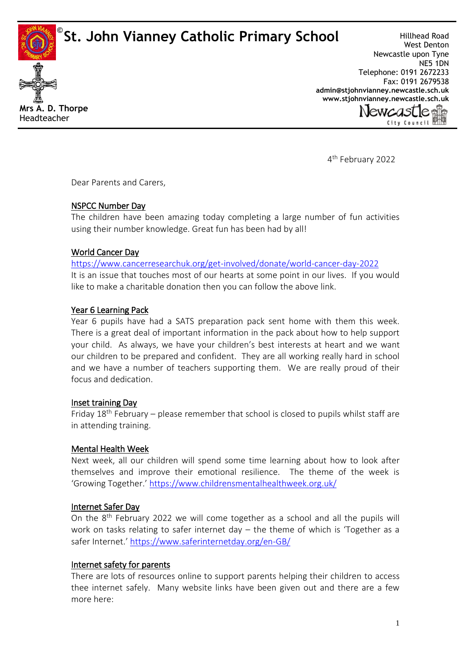**St. John Vianney Catholic Primary School ©**



Hillhead Road West Denton Newcastle upon Tyne NE5 1DN Telephone: 0191 2672233 Fax: 0191 2679538 **[admin@stjohnvianney.newcastle.sch.uk](mailto:admin@stjohnvianney.newcastle.sch.uk) [www.stjohnvianney.newcastle.sch.uk](http://www.stjohnvianney.newcastle.sch.uk/)**



4<sup>th</sup> February 2022

Dear Parents and Carers,

## NSPCC Number Day

The children have been amazing today completing a large number of fun activities using their number knowledge. Great fun has been had by all!

# World Cancer Day

<https://www.cancerresearchuk.org/get-involved/donate/world-cancer-day-2022> It is an issue that touches most of our hearts at some point in our lives. If you would like to make a charitable donation then you can follow the above link.

# Year 6 Learning Pack

Year 6 pupils have had a SATS preparation pack sent home with them this week. There is a great deal of important information in the pack about how to help support your child. As always, we have your children's best interests at heart and we want our children to be prepared and confident. They are all working really hard in school and we have a number of teachers supporting them. We are really proud of their focus and dedication.

## Inset training Day

Friday  $18<sup>th</sup>$  February – please remember that school is closed to pupils whilst staff are in attending training.

## Mental Health Week

Next week, all our children will spend some time learning about how to look after themselves and improve their emotional resilience. The theme of the week is 'Growing Together.' <https://www.childrensmentalhealthweek.org.uk/>

## Internet Safer Day

On the 8<sup>th</sup> February 2022 we will come together as a school and all the pupils will work on tasks relating to safer internet day  $-$  the theme of which is 'Together as a safer Internet.' <https://www.saferinternetday.org/en-GB/>

## Internet safety for parents

There are lots of resources online to support parents helping their children to access thee internet safely. Many website links have been given out and there are a few more here: